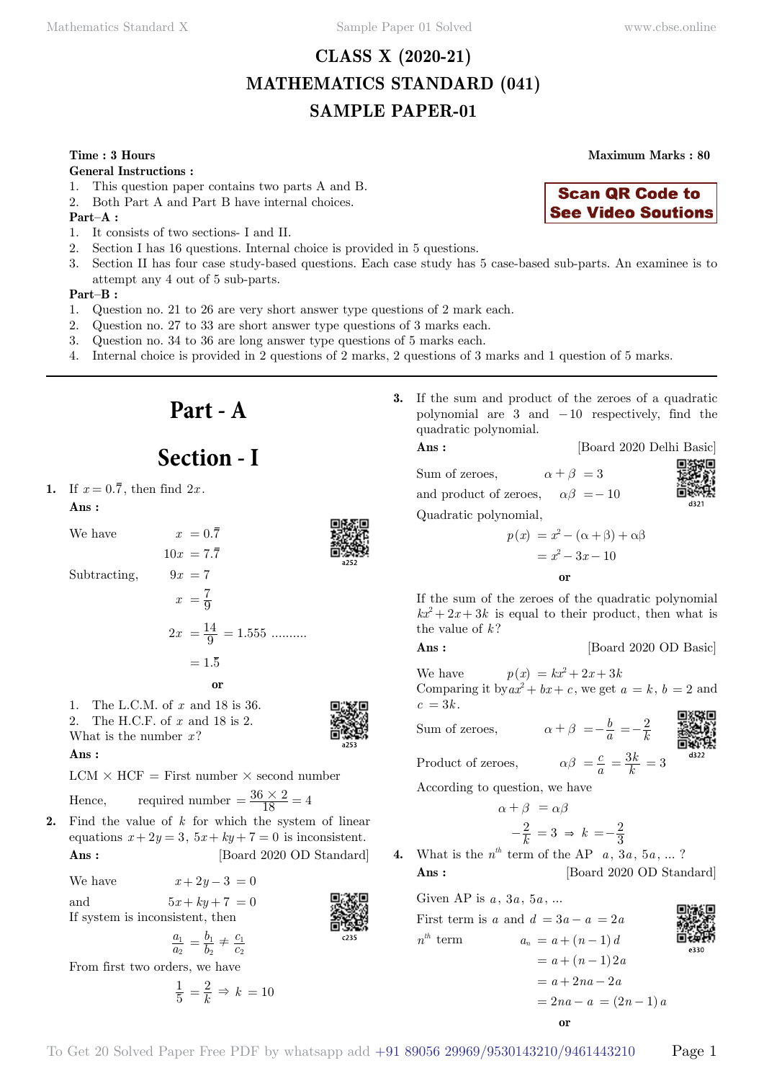# **CLASS X (2020-21) MATHEMATICS STANDARD (041) SAMPLE PAPER-01**

### **Time : 3 Hours Maximum Marks : 80**

#### **General Instructions :**

- 1. This question paper contains two parts A and B.
- 2. Both Part A and Part B have internal choices.

### **Part–A :**

- 1. It consists of two sections- I and II.
- 2. Section I has 16 questions. Internal choice is provided in 5 questions.
- 3. Section II has four case study-based questions. Each case study has 5 case-based sub-parts. An examinee is to attempt any 4 out of 5 sub-parts.

#### **Part–B :**

- 1. Question no. 21 to 26 are very short answer type questions of 2 mark each.
- 2. Question no. 27 to 33 are short answer type questions of 3 marks each.
- 3. Question no. 34 to 36 are long answer type questions of 5 marks each.
- 4. Internal choice is provided in 2 questions of 2 marks, 2 questions of 3 marks and 1 question of 5 marks.
	- **Part A**

# **Section - I**

# **1.** If  $x = 0.\overline{7}$ , then find  $2x$ .

#### **Ans :**

We have  $x = 0.\overline{7}$ 

Subtracting,

$$
10x = 7.\overline{7}
$$
  
\nSubtracting,  
\n
$$
9x = 7
$$
  
\n
$$
x = \frac{7}{9}
$$
  
\n
$$
2x = \frac{14}{9} = 1.555
$$
........  
\n
$$
= 1.\overline{5}
$$

 **o**

1. The L.C.M. of *x* and 18 is 36. 2. The H.C.F. of *x* and 18 is 2. What is the number  $x$ ?

 **Ans :**

 $LCM \times HCF =$  First number  $\times$  second number

Hence, required number 
$$
=
$$
  $\frac{36 \times 2}{18} = 4$ 

**2.** Find the value of *k* for which the system of linear equations  $x + 2y = 3$ ,  $5x + ky + 7 = 0$  is inconsistent. **Ans :** [Board 2020 OD Standard]

We have  $x + 2y - 3 = 0$ and  $5x + ky + 7 = 0$ If system is inconsistent, then

$$
\frac{a_1}{a_2} = \frac{b_1}{b_2} \neq \frac{c_1}{c_2}
$$

From first two orders, we have

$$
\frac{1}{5} = \frac{2}{k} \Rightarrow k = 10
$$

**3.** If the sum and product of the zeroes of a quadratic polynomial are  $3$  and  $-10$  respectively, find the quadratic polynomial.

#### **Ans :** [Board 2020 Delhi Basic]

**Scan QR Code to See Video Soutions** 

Sum of zeroes,  $\alpha + \beta = 3$ and product of zeroes,  $\alpha\beta = -10$ Quadratic polynomial,

$$
\begin{bmatrix} 1 & 0 & 0 \\ 0 & 0 & 0 \\ 0 & 0 & 0 \\ 0 & 0 & 0 \\ 0 & 0 & 0 \\ 0 & 0 & 0 \\ 0 & 0 & 0 \\ 0 & 0 & 0 \\ 0 & 0 & 0 \\ 0 & 0 & 0 \\ 0 & 0 & 0 \\ 0 & 0 & 0 \\ 0 & 0 & 0 \\ 0 & 0 & 0 & 0 \\ 0 & 0 & 0 & 0 \\ 0 & 0 & 0 & 0 \\ 0 & 0 & 0 & 0 & 0 \\ 0 & 0 & 0 & 0 & 0 \\ 0 & 0 & 0 & 0 & 0 \\ 0 & 0 & 0 & 0 & 0 & 0 \\ 0 & 0 & 0 & 0 & 0 & 0 \\ 0 & 0 & 0 & 0 & 0 & 0 \\ 0 & 0 & 0 & 0 & 0 & 0 & 0 \\ 0 & 0 & 0 & 0 & 0 & 0 & 0 \\ 0 & 0 & 0 & 0 & 0 & 0 & 0 \\ 0 & 0 & 0 & 0 & 0 & 0 & 0 \\ 0 & 0 & 0 & 0 & 0 & 0 & 0 \\ 0 & 0 & 0 & 0 & 0 & 0 & 0 \\ 0 & 0 & 0 & 0 & 0 & 0 & 0 \\ 0 & 0 & 0 & 0 & 0 & 0 & 0 \\ 0 & 0 & 0 & 0 & 0 & 0 & 0 \\ 0 & 0 & 0 & 0 & 0 & 0 & 0 \\ 0 & 0 & 0 & 0 & 0 & 0 & 0 \\ 0 & 0 & 0 & 0 & 0 & 0 & 0 \\ 0 & 0 & 0 & 0 & 0 & 0 & 0 \\ 0 & 0 & 0 & 0 & 0 & 0 & 0 \\ 0 & 0 & 0 & 0 & 0 & 0 & 0 \\ 0 & 0 & 0 & 0 & 0 & 0 & 0 \\ 0 & 0 & 0 & 0 & 0 & 0 & 0 \\ 0 & 0 & 0 & 0 & 0 & 0 & 0 \\ 0 & 0 & 0 & 0 & 0 & 0 & 0 \\ 0 & 0 & 0 & 0 & 0 & 0 & 0 \\ 0 & 0 & 0 & 0 & 0 & 0 & 0 \\ 0 & 0 & 0 & 0 & 0 & 0 & 0 \\ 0 & 0 & 0 & 0 & 0 & 0 & 0 \\ 0 & 0 & 0 & 0 & 0 & 0 &
$$

$$
p(x) = x2 - (\alpha + \beta) + \alpha\beta
$$

$$
= x2 - 3x - 10
$$

If the sum of the zeroes of the quadratic polynomial  $kx^2 + 2x + 3k$  is equal to their product, then what is the value of *k* ?

 **o**

**Ans :** [Board 2020 OD Basic]

We have  $p(x) = kx^2 + 2x + 3k$ Comparing it by  $ax^2 + bx + c$ , we get  $a = k$ ,  $b = 2$  and  $c = 3k$ .

Sum of zeroes,

$$
rac{1}{2}
$$

$$
f_{\rm{max}}
$$

$$
f_{\rm{max}}
$$

$$
\alpha \in \mathbb{R}^n
$$

$$
\alpha\beta = \frac{c}{a} = \frac{3k}{k} = 3
$$

$$
\frac{1}{2}
$$

Product of zeroes,

According to question, we have

$$
\alpha + \beta = \alpha \beta
$$

$$
-\frac{2}{k} = 3 \Rightarrow k = -\frac{2}{3}
$$
  
<sup>th</sup> term of the AP = 3a

**4.** What is the  $n^{th}$  term of the AP  $a, 3a, 5a, \ldots$ ? **Ans :** [Board 2020 OD Standard]

Given AP is  $a, 3a, 5a, ...$ 

First term is *a* and  $d = 3a - a = 2a$  $n^{th}$  term  $a_n = a + (n-1)d$  $= a + (n-1)2a$  $= a + 2na - 2a$  $= 2na - a = (2n - 1)a$  **o**





 $=-\frac{b}{a} = -\frac{2}{k}$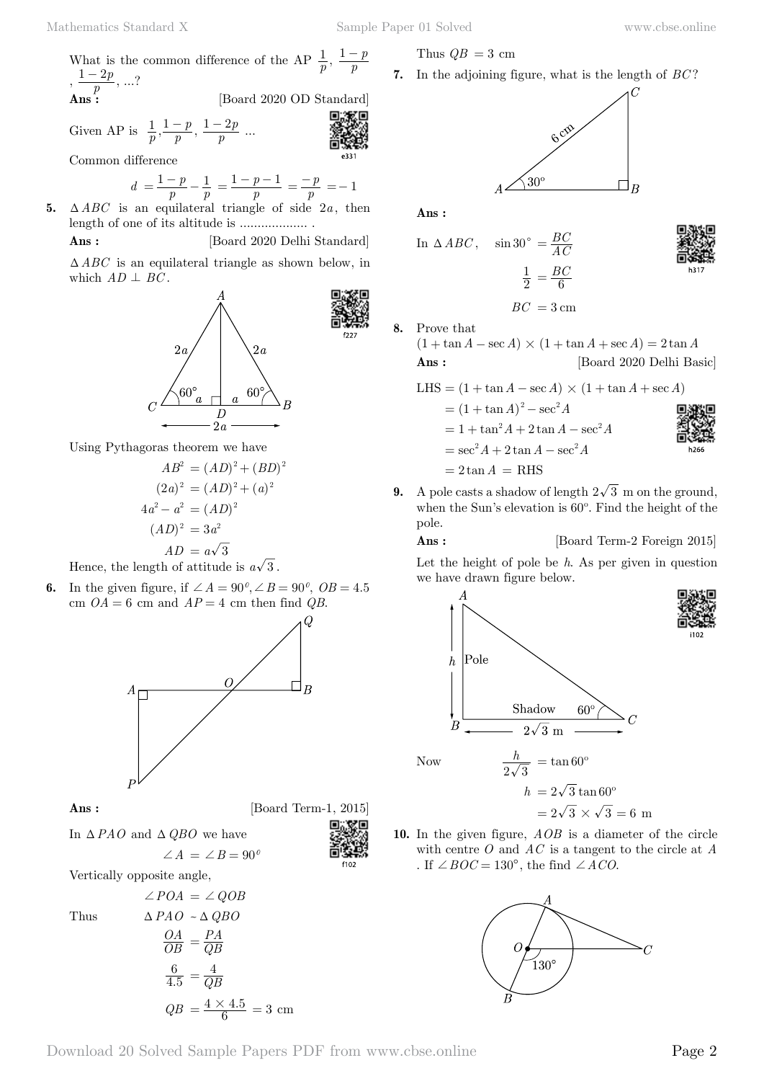What is the common difference of the AP  $\frac{1}{p}$ ,  $\frac{1-p}{p}$  $, \frac{1-2p}{p}, \ldots?$ [Board 2020 OD Standard]

Given AP is 
$$
\frac{1}{p}, \frac{1-p}{p}, \frac{1-2p}{p}
$$
 ...

Common difference

$$
d = \frac{1-p}{p} - \frac{1}{p} = \frac{1-p-1}{p} = \frac{-p}{p} = -1
$$

**5.**  $\triangle ABC$  is an equilateral triangle of side  $2a$ , then length of one of its altitude is ................... .

**Ans :** [Board 2020 Delhi Standard]  $\triangle ABC$  is an equilateral triangle as shown below, in which  $AD \perp BC$ .



Using Pythagoras theorem we have

$$
AB2 = (AD)2 + (BD)2
$$

$$
(2a)2 = (AD)2 + (a)2
$$

$$
4a2 - a2 = (AD)2
$$

$$
(AD)2 = 3a2
$$

$$
AD = a\sqrt{3}
$$

Hence, the length of attitude is  $a\sqrt{3}$ .

**6.** In the given figure, if  $\angle A = 90^\circ, \angle B = 90^\circ, \overline{OB} = 4.5$ cm  $OA = 6$  cm and  $AP = 4$  cm then find *QB*.



**Ans :** [Board Term-1, 2015]

In  $\triangle$ *PAO* and  $\triangle$ *QBO* we have

 $\angle A = \angle B = 90^\circ$ 

Vertically opposite angle,

Thus T*PAO* ~T*QBO*

$$
\angle POA = \angle QOB
$$
  
\n
$$
\Delta PAO \sim \Delta QBO
$$
  
\n
$$
\frac{OA}{OB} = \frac{PA}{QB}
$$
  
\n
$$
\frac{6}{4.5} = \frac{4}{QB}
$$
  
\n
$$
QB = \frac{4 \times 4.5}{6} = 3 \text{ cm}
$$

Thus  $QB = 3$  cm

**7.** In the adjoining figure, what is the length of *BC* ?

$$
A \longrightarrow 30^{\circ}
$$

 **Ans :**

**8.** Prove that

In  $\triangle ABC$ ,  $\sin 30^\circ = \frac{BC}{AC}$ 2  $\frac{1}{2} = \frac{BC}{6}$ 

$$
BC = 3 \,\mathrm{cm}
$$

(1 + 
$$
\tan A - \sec A
$$
) × (1 +  $\tan A + \sec A$ ) = 2 tan A  
Ans: [Board 2020 Delhi Basic]

LHS = 
$$
(1 + \tan A - \sec A) \times (1 + \tan A + \sec A)
$$
  
\n=  $(1 + \tan A)^2 - \sec^2 A$   
\n=  $1 + \tan^2 A + 2 \tan A - \sec^2 A$   
\n=  $\sec^2 A + 2 \tan A - \sec^2 A$   
\n=  $2 \tan A =$  RHS

**9.** A pole casts a shadow of length  $2\sqrt{3}$  m on the ground, when the Sun's elevation is 60º. Find the height of the pole.

**Ans :** [Board Term-2 Foreign 2015]

Let the height of pole be *h*. As per given in question we have drawn figure below.



 $h = 2\sqrt{3} \tan 60^{\circ}$  $= 2\sqrt{3} \times \sqrt{3} = 6$  m

**10.** In the given figure, *AOB* is a diameter of the circle with centre *O* and *AC* is a tangent to the circle at *A* . If  $\angle BOC = 130^{\circ}$ , the find  $\angle ACO$ .

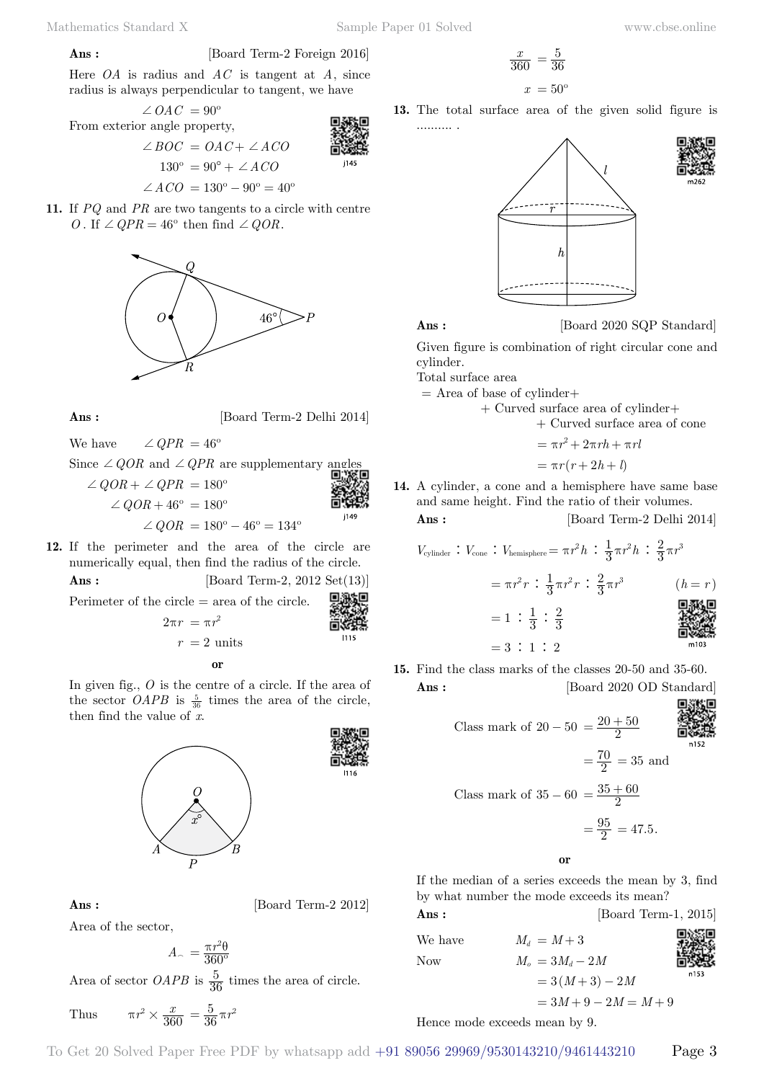$$
\mathbf{Ans:}\quad
$$

$$
[Board Term-2 Foreign 2016]
$$

Here *OA* is radius and *AC* is tangent at *A*, since radius is always perpendicular to tangent, we have

$$
\angle OAC = 90^{\circ}
$$
  
From exterior angle property,  

$$
\angle BOC = OAC + \angle ACO
$$

$$
130^{\circ} = 90^{\circ} + \angle ACO
$$

$$
\angle ACO = 130^{\circ} - 90^{\circ} = 40^{\circ}
$$

11. If *PQ* and *PR* are two tangents to a circle with centre 
$$
O
$$
. If  $\angle QPR = 46^{\circ}$  then find  $\angle QOR$ .



**Ans :** [Board Term-2 Delhi 2014]

We have  $\angle$  *QPR* = 46<sup>°</sup>

Since  $\angle QOR$  and  $\angle QPR$  are supplementary angles  $\angle QOR + \angle QPR = 180^\circ$ 

$$
\angle QOR + 46^{\circ} = 180^{\circ}
$$
  
 $\angle QOR = 180^{\circ} - 46^{\circ} = 134^{\circ}$ 

**12.** If the perimeter and the area of the circle are numerically equal, then find the radius of the circle. **Ans :** [Board Term-2, 2012 Set(13)]

Perimeter of the circle  $=$  area of the circle.

$$
2\pi r = \pi r^2
$$

In given fig., *O* is the centre of a circle. If the area of the sector *OAPB* is  $\frac{5}{36}$  times the area of the circle, then find the value of *x*.



## **Ans :** [Board Term-2 2012]

Area of the sector,

$$
A_{\sim} = \frac{\pi r^2 \theta}{360^{\circ}}
$$

Area of sector *OAPB* is  $\frac{5}{36}$  times the area of circle.

Thus 
$$
\pi r^2 \times \frac{x}{360} = \frac{5}{36} \pi r^2
$$

$$
\frac{x}{360} = \frac{5}{36}
$$

$$
x = 50^{\circ}
$$

**13.** The total surface area of the given solid figure is .......... .





$$
{\bf Ans:}
$$

[Board 2020 SQP Standard]

Given figure is combination of right circular cone and cylinder.

Total surface area

$$
=
$$
 Area of base of cylinder+

+ Curved surface area of cylinder+

+ Curved surface area of cone

$$
= \pi r^2 + 2\pi rh + \pi rl
$$

$$
= \pi r(r + 2h + l)
$$

**14.** A cylinder, a cone and a hemisphere have same base and same height. Find the ratio of their volumes.

**Ans :** [Board Term-2 Delhi 2014]

$$
V_{\text{cylinder}}: V_{\text{cone}}: V_{\text{hemisphere}} = \pi r^2 h : \frac{1}{3} \pi r^2 h : \frac{2}{3} \pi r^3
$$
  
=  $\pi r^2 r : \frac{1}{3} \pi r^2 r : \frac{2}{3} \pi r^3$   $(h = r)$   
=  $1 : \frac{1}{3} : \frac{2}{3}$ 

**15.** Find the class marks of the classes 20-50 and 35-60. **Ans :** [Board 2020 OD Standard]

 $= 3:1:2$ 

Class mark of 
$$
20 - 50 = \frac{20 + 50}{2}
$$
  
\n
$$
= \frac{70}{2} = 35
$$
 and  
\nClass mark of  $35 - 60 = \frac{35 + 60}{2}$   
\n
$$
= \frac{95}{2} = 47.5.
$$

If the median of a series exceeds the mean by 3, find by what number the mode exceeds its mean?

| Ans:            |                                       | [Board Term-1, 2015] |
|-----------------|---------------------------------------|----------------------|
| We have         | $M_d = M+3$                           |                      |
| N <sub>ow</sub> | $M_{\rm e} = 3M_{\rm d} - 2M_{\rm e}$ |                      |
|                 | $=3(M+3)-2M$                          | n153                 |
|                 | $=3M+9-2M=M+9$                        |                      |

Hence mode exceeds mean by 9.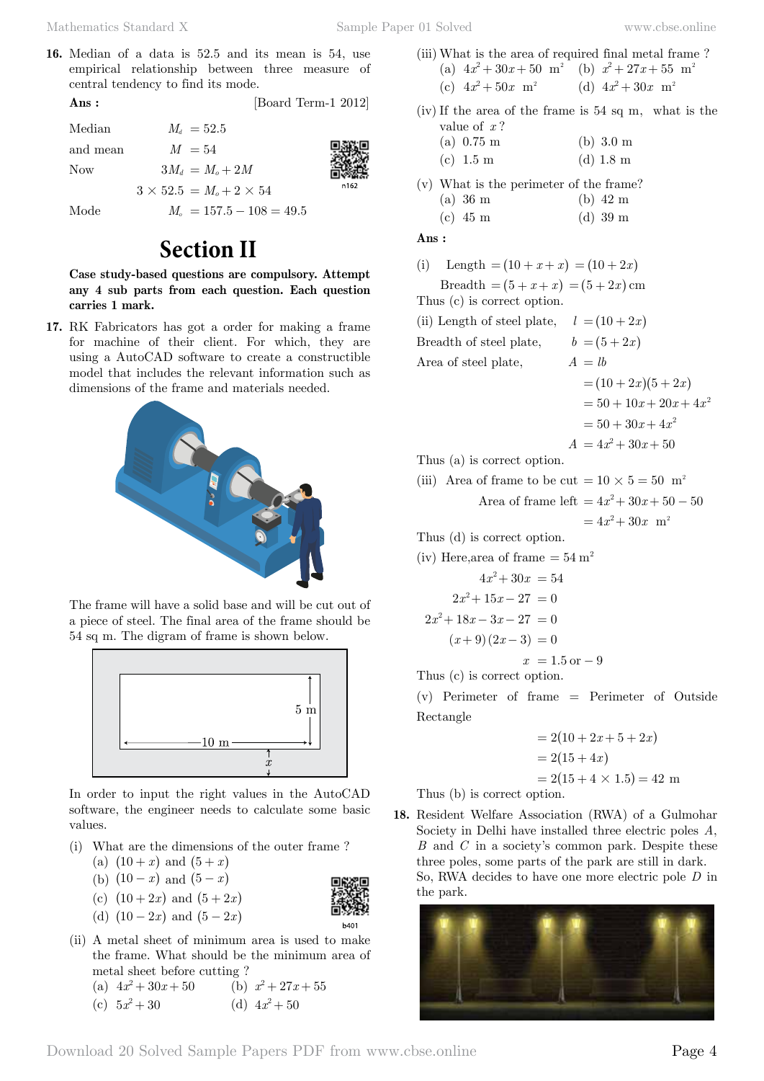**16.** Median of a data is 52.5 and its mean is 54, use empirical relationship between three measure of central tendency to find its mode.

**Ans :** [Board Term-1 2012]

 $Median \t M_d = 52.5$ and mean  $M = 54$ Now  $3M_d = M_o + 2M$ 

 $3 \times 52.5 = M_o + 2 \times 54$ 

Mode  $M_o = 157.5 - 108 = 49.5$ 

# **Section II**

**Case study-based questions are compulsory. Attempt any 4 sub parts from each question. Each question carries 1 mark.**

**17.** RK Fabricators has got a order for making a frame for machine of their client. For which, they are using a AutoCAD software to create a constructible model that includes the relevant information such as dimensions of the frame and materials needed.



The frame will have a solid base and will be cut out of a piece of steel. The final area of the frame should be 54 sq m. The digram of frame is shown below.



In order to input the right values in the AutoCAD software, the engineer needs to calculate some basic values.

- (i) What are the dimensions of the outer frame ?
	- (a)  $(10 + x)$  and  $(5 + x)$
	- (b)  $(10 x)$  and  $(5 x)$
	- (c)  $(10 + 2x)$  and  $(5 + 2x)$
	- (d)  $(10 2x)$  and  $(5 2x)$
- (ii) A metal sheet of minimum area is used to make the frame. What should be the minimum area of metal sheet before cutting ? (a)  $4x^2 + 30x + 50$  (b)  $x^2 + 27x + 55$

(c) 
$$
5x^2 + 30
$$
 (d)  $4x^2 + 50$ 

- (iii) What is the area of required final metal frame ? (a)  $4x^2 + 30x + 50$  m<sup>2</sup> (b)  $x^2 + 27x + 55$  m<sup>2</sup>
	- (c)  $4x^2 + 50x$  m<sup>2</sup> (d)  $4x^2 + 30x$  m<sup>2</sup>
- (iv) If the area of the frame is 54 sq m, what is the value of *x* ?
	- (a) 0.75 m (b) 3.0 m (c) 1.5 m (d) 1.8 m
- (v) What is the perimeter of the frame? (a) 36 m (b) 42 m
	- (c) 45 m (d) 39 m

 **Ans :**

(i) Length  $= (10 + x + x) = (10 + 2x)$  $\text{Breadth} = (5 + x + x) = (5 + 2x) \text{ cm}$ Thus (c) is correct option. (ii) Length of steel plate,  $l = (10 + 2x)$ Breadth of steel plate,  $b = (5 + 2x)$ Area of steel plate,  $A = lb$  $= (10 + 2x)(5 + 2x)$  $= 50 + 10x + 20x + 4x^2$  $= 50 + 30x + 4x^2$  $A = 4x^2 + 30x + 50$ Thus (a) is correct option. (iii) Area of frame to be cut =  $10 \times 5 = 50$  m<sup>2</sup> Area of frame left  $= 4x^2 + 30x + 50 - 50$  $= 4x<sup>2</sup> + 30x$  m<sup>2</sup> Thus (d) is correct option. (iv) Here, area of frame  $=54 \text{ m}^2$  $4x^2 + 30x = 54$  $2x^2 + 15x - 27 = 0$  $2x^2 + 18x - 3x - 27 = 0$  $(x+9)(2x-3) = 0$  $x = 1.5$  or  $-9$ Thus (c) is correct option.

(v) Perimeter of frame = Perimeter of Outside Rectangle

> $= 2( 10 + 2x + 5 + 2x )$  $= 2(15 + 4x)$  $= 2(15 + 4 \times 1.5) = 42$  m

Thus (b) is correct option.

**18.** Resident Welfare Association (RWA) of a Gulmohar Society in Delhi have installed three electric poles *A*, *B* and *C* in a society's common park. Despite these three poles, some parts of the park are still in dark. So, RWA decides to have one more electric pole *D* in the park.



 $b40'$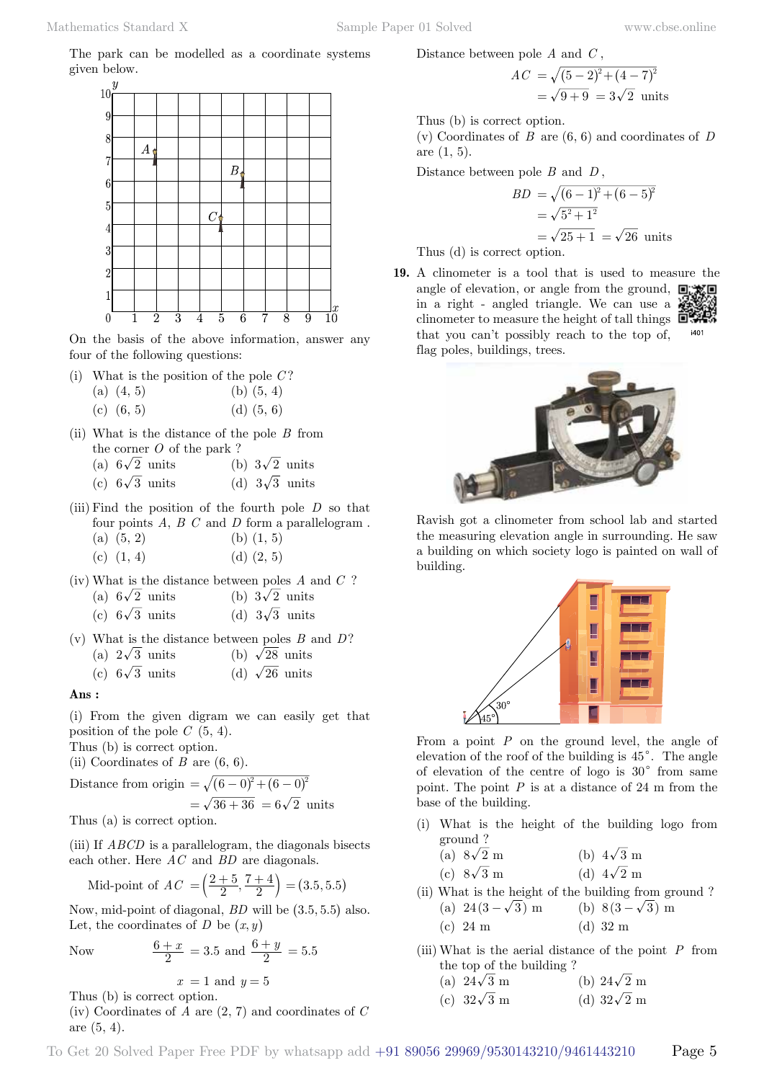The park can be modelled as a coordinate systems given below.



On the basis of the above information, answer any four of the following questions:

(i) What is the position of the pole *C* ?

| (a) $(4, 5)$ | (b) $(5, 4)$ |
|--------------|--------------|
| (c) $(6, 5)$ | (d) $(5, 6)$ |

- (ii) What is the distance of the pole *B* from the corner *O* of the park ?
	- (a)  $6\sqrt{2}$  units (b)  $3\sqrt{2}$  units
	- (c)  $6\sqrt{3}$  units (d)  $3\sqrt{3}$  units
- (iii) Find the position of the fourth pole *D* so that four points  $A, B, C$  and  $D$  form a parallelogram. (a)  $(5, 2)$  (b)  $(1, 5)$

| (c) $(1, 4)$ | (d) $(2, 5)$ |  |
|--------------|--------------|--|

(iv) What is the distance between poles *A* and *C* ?

|  | (a) $6\sqrt{2}$ units |  | (b) $3\sqrt{2}$ units |
|--|-----------------------|--|-----------------------|
|  | (c) $6\sqrt{3}$ units |  | (d) $3\sqrt{3}$ units |

(v) What is the distance between poles *B* and *D*?

|  | (a) $2\sqrt{3}$ units |  |  | (b) $\sqrt{28}$ units |
|--|-----------------------|--|--|-----------------------|
|--|-----------------------|--|--|-----------------------|

(c)  $6\sqrt{3}$  units (d)  $\sqrt{26}$  units

#### **Ans :**

(i) From the given digram we can easily get that position of the pole *C* (5, 4).

Thus (b) is correct option.

(ii) Coordinates of  $B$  are  $(6, 6)$ .

Distance from origin 
$$
= \sqrt{(6-0)^2 + (6-0)^2}
$$
  
=  $\sqrt{36 + 36} = 6\sqrt{2}$  units

Thus (a) is correct option.

(iii) If *ABCD* is a parallelogram, the diagonals bisects each other. Here *AC* and *BD* are diagonals.

Mid-point of 
$$
AC = \left(\frac{2+5}{2}, \frac{7+4}{2}\right) = (3.5, 5.5)
$$

Now, mid-point of diagonal,  $BD$  will be  $(3.5, 5.5)$  also. Let, the coordinates of *D* be  $(x, y)$ 

Now 
$$
\frac{6+x}{2} = 3.5
$$
 and  $\frac{6+y}{2} = 5.5$ 

$$
x = 1 \text{ and } y = 5
$$

Thus (b) is correct option.

(iv) Coordinates of *A* are (2, 7) and coordinates of *C* are (5, 4).

Distance between pole *A* and *C* ,

$$
AC = \sqrt{(5-2)^2 + (4-7)^2}
$$
  
=  $\sqrt{9+9} = 3\sqrt{2}$  units

Thus (b) is correct option. (v) Coordinates of *B* are (6, 6) and coordinates of *D* are (1, 5).

Distance between pole *B* and *D* ,

$$
BD = \sqrt{(6-1)^2 + (6-5)^2}
$$
  
=  $\sqrt{5^2 + 1^2}$   
=  $\sqrt{25 + 1} = \sqrt{26}$  units

Thus (d) is correct option.

**19.** A clinometer is a tool that is used to measure the angle of elevation, or angle from the ground,  $\Box$ in a right - angled triangle. We can use a clinometer to measure the height of tall things  $\Box$ that you can't possibly reach to the top of, i401 flag poles, buildings, trees.





Ravish got a clinometer from school lab and started the measuring elevation angle in surrounding. He saw a building on which society logo is painted on wall of building.



From a point *P* on the ground level, the angle of elevation of the roof of the building is  $45^{\circ}$ . The angle of elevation of the centre of logo is  $30^{\circ}$  from same point. The point  $P$  is at a distance of 24 m from the base of the building.

(i) What is the height of the building logo from ground ?

| (a) $8\sqrt{2}$ m | (b) $4\sqrt{3}$ m |
|-------------------|-------------------|
| (c) $8\sqrt{3}$ m | (d) $4\sqrt{2}$ m |

- (ii) What is the height of the building from ground ?
	- (a)  $24(3-\sqrt{3})$  m (b)  $8(3-\sqrt{3})$  m (c) 24 m (d) 32 m
- (iii) What is the aerial distance of the point *P* from the top of the building ?

(a) 
$$
24\sqrt{3}
$$
 m (b)  $24\sqrt{2}$  m

(c) 
$$
32\sqrt{3}
$$
 m (d)  $32\sqrt{2}$  m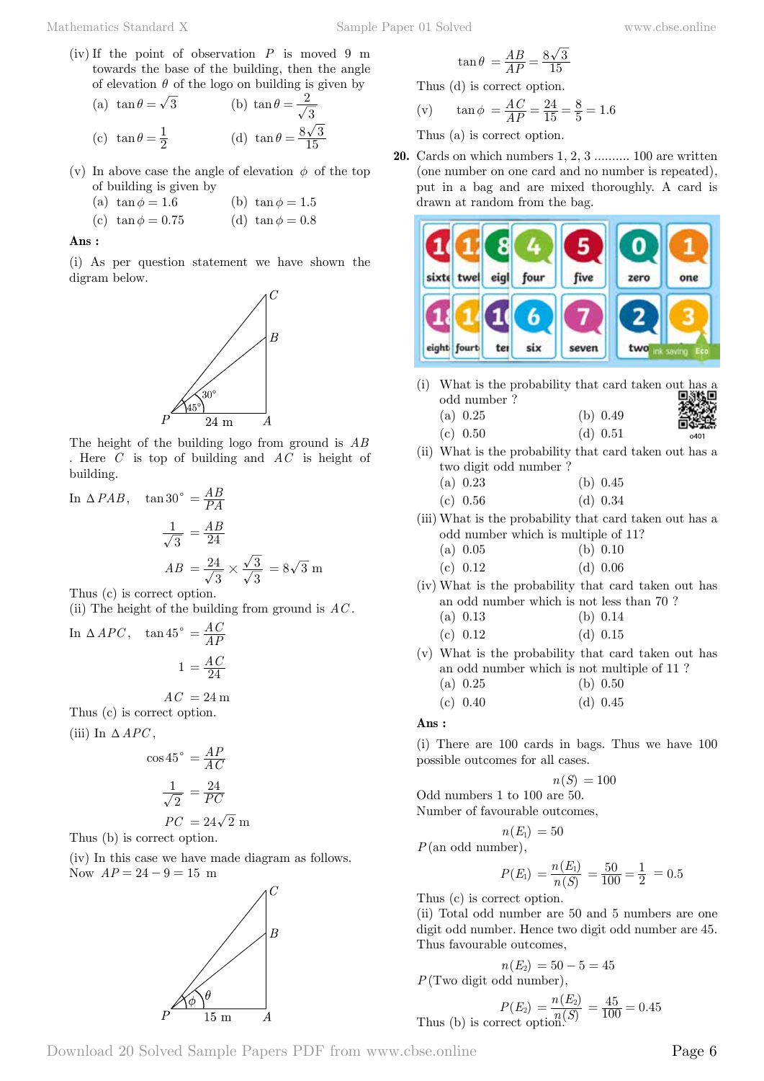(iv) If the point of observation *P* is moved 9 m towards the base of the building, then the angle of elevation  $\theta$  of the logo on building is given by

(a) 
$$
\tan \theta = \sqrt{3}
$$
  
\n(b)  $\tan \theta = \frac{2}{\sqrt{3}}$   
\n(c)  $\tan \theta = \frac{1}{2}$   
\n(d)  $\tan \theta = \frac{8\sqrt{3}}{15}$ 

- (v) In above case the angle of elevation  $\phi$  of the top of building is given by
	- (a)  $\tan \phi = 1.6$  (b)  $\tan \phi = 1.5$
	- (c)  $\tan \phi = 0.75$  (d)  $\tan \phi = 0.8$

#### **Ans :**

(i) As per question statement we have shown the digram below.



The height of the building logo from ground is *AB* . Here *C* is top of building and *AC* is height of building.

In 
$$
\triangle PAB
$$
,  $\tan 30^\circ = \frac{AB}{PA}$   

$$
\frac{1}{\sqrt{3}} = \frac{AB}{24}
$$

$$
AB = \frac{24}{\sqrt{3}} \times \frac{\sqrt{3}}{\sqrt{3}} = 8\sqrt{3} \text{ m}
$$

Thus (c) is correct option.

(ii) The height of the building from ground is *AC* .

In 
$$
\triangle
$$
 *APC*,  $\tan 45^{\circ} = \frac{AC}{AP}$   

$$
1 = \frac{AC}{24}
$$

$$
AC = 24 \,\mathrm{m}
$$

Thus (c) is correct option.

(iii) In  $\triangle$  *APC*,

$$
\cos 45^\circ = \frac{AP}{AC}
$$

$$
\frac{1}{\sqrt{2}} = \frac{24}{PC}
$$

$$
PC = 24\sqrt{2} \text{ m}
$$
  
Thus (b) is correct option.

(iv) In this case we have made diagram as follows. Now  $AP = 24 - 9 = 15$  m



$$
\tan\theta\ = \frac{AB}{AP} = \frac{8\sqrt{3}}{15}
$$

Thus (d) is correct option. *AC*  $24$ 

(v) 
$$
\tan \phi = \frac{AC}{AP} = \frac{24}{15} = \frac{8}{5} = 1.6
$$

Thus (a) is correct option.

**20.** Cards on which numbers 1, 2, 3 .......... 100 are written (one number on one card and no number is repeated), put in a bag and are mixed thoroughly. A card is drawn at random from the bag.



(i) What is the probability that card taken out has a odd number ? (a)  $0.25$  (b)  $0.49$ 

(c) 0.50 (d) 0.51

(ii) What is the probability that card taken out has a two digit odd number ?

| (a) $0.23$ | (b) $0.45$ |
|------------|------------|
| (c) 0.56   | (d) $0.34$ |

(iii) What is the probability that card taken out has a odd number which is multiple of 11?

(a) 
$$
0.05
$$
 (b)  $0.10$ 

(c) 
$$
0.12
$$
 (d)  $0.06$ 

(iv) What is the probability that card taken out has an odd number which is not less than 70 ?

(a) 
$$
0.13
$$
 (b)  $0.14$ 

(c) 
$$
0.12
$$
 (d)  $0.15$ 

(v) What is the probability that card taken out has an odd number which is not multiple of 11 ?

(a) 
$$
0.25
$$
 (b)  $0.50$ 

(c) 
$$
0.40
$$
 (d)  $0.45$ 

 **Ans :**

(i) There are 100 cards in bags. Thus we have 100 possible outcomes for all cases.

$$
n(S) = 100
$$

Odd numbers 1 to 100 are 50. Number of favourable outcomes,

 $\binom{F}{F} = 50$ 

$$
n(E_1) =
$$
  
 $P(\text{an odd number}),$ 

$$
P(E_1) = \frac{n(E_1)}{n(S)} = \frac{50}{100} = \frac{1}{2} = 0.5
$$

Thus (c) is correct option.

(ii) Total odd number are 50 and 5 numbers are one digit odd number. Hence two digit odd number are 45. Thus favourable outcomes,

$$
n(E_2) = 50 - 5 = 45
$$
  
 $P(\text{Two digit odd number}),$ 

Thus (b) is correct option.  
\n
$$
P(E_2) = \frac{n(E_2)}{n(S)} = \frac{45}{100} = 0.45
$$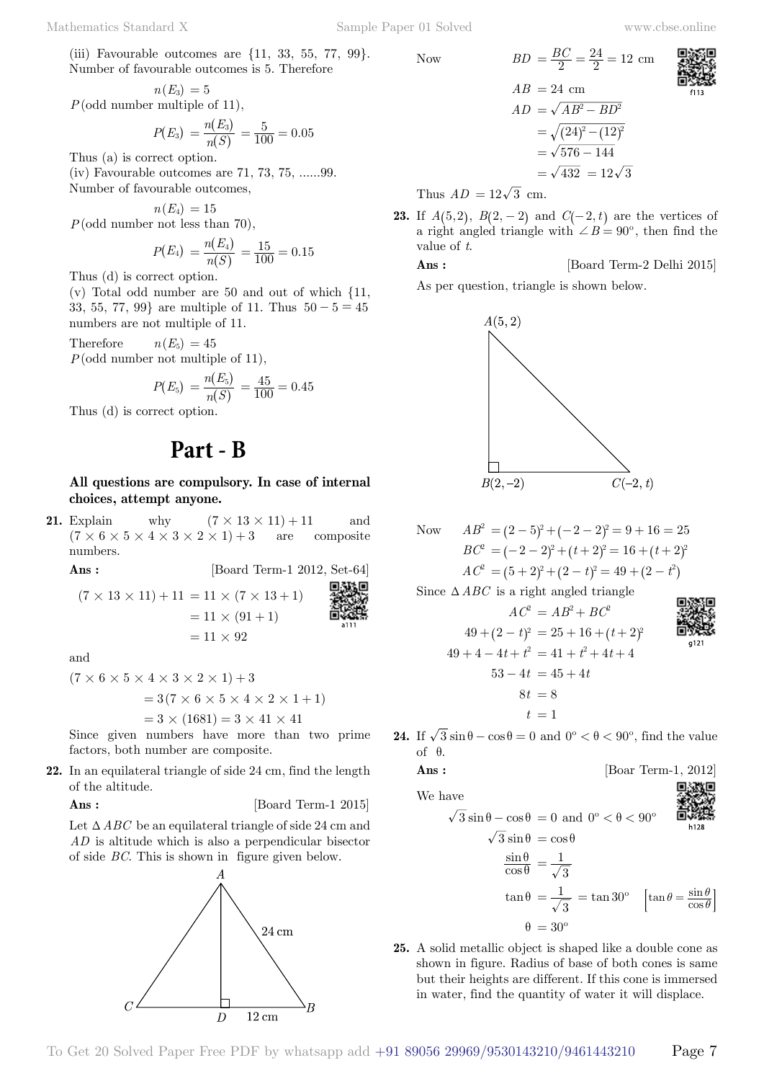(iii) Favourable outcomes are {11, 33, 55, 77, 99}. Number of favourable outcomes is 5. Therefore

$$
n(E_3) = 5
$$
  
 $P(\text{odd number multiple of 11}),$ 

$$
P(E_3) = \frac{n(E_3)}{n(S)} = \frac{5}{100} = 0.05
$$

Thus (a) is correct option. (iv) Favourable outcomes are 71, 73, 75, ......99. Number of favourable outcomes,

$$
n(E_4)=15
$$

*P*(odd number not less than 70).

$$
P(E_4) = \frac{n(E_4)}{n(S)} = \frac{15}{100} = 0.15
$$

Thus (d) is correct option.

(v) Total odd number are 50 and out of which {11, 33, 55, 77, 99} are multiple of 11. Thus  $50 - 5 = 45$ numbers are not multiple of 11.

Therefore  $n(E_5) = 45$ *P*(odd number not multiple of 11),

$$
P(E_5) = \frac{n(E_5)}{n(S)} = \frac{45}{100} = 0.45
$$

Thus (d) is correct option.

# **Part - B**

### **All questions are compulsory. In case of internal choices, attempt anyone.**

**21.** Explain why  $(7 \times 13 \times 11) + 11$  and  $(7 \times 6 \times 5 \times 4 \times 3 \times 2 \times 1) + 3$  are composite numbers.

**Ans :** [Board Term-1 2012, Set-64]

$$
(7 \times 13 \times 11) + 11 = 11 \times (7 \times 13 + 1)
$$
  
= 11 \times (91 + 1)  
= 11 \times 92  
  
Answer 10

and

$$
(7 \times 6 \times 5 \times 4 \times 3 \times 2 \times 1) + 3
$$
  
= 3(7 \times 6 \times 5 \times 4 \times 2 \times 1 + 1)

$$
= 3 \times (1681) = 3 \times 41 \times 41
$$

Since given numbers have more than two prime factors, both number are composite.

**22.** In an equilateral triangle of side 24 cm, find the length of the altitude.

**Ans :** [Board Term-1 2015]

Let  $\triangle ABC$  be an equilateral triangle of side 24 cm and *AD* is altitude which is also a perpendicular bisector of side *BC*. This is shown in figure given below.



Now 
$$
BD = \frac{BC}{2} = \frac{24}{2} = 12 \text{ cm}
$$
  
\n $AB = 24 \text{ cm}$   
\n $AD = \sqrt{AB^2 - BD^2}$   
\n $= \sqrt{(24)^2 - (12)^2}$   
\n $= \sqrt{576 - 144}$   
\n $= \sqrt{432} = 12\sqrt{3}$ 

Thus  $AD = 12\sqrt{3}$  cm.

**23.** If  $A(5,2)$ ,  $B(2, -2)$  and  $C(-2, t)$  are the vertices of a right angled triangle with  $\angle B = 90^{\circ}$ , then find the value of *t*.

**Ans :** [Board Term-2 Delhi 2015]

As per question, triangle is shown below.



Now 
$$
AB^2 = (2-5)^2 + (-2-2)^2 = 9 + 16 = 25
$$
  
\n $BC^2 = (-2-2)^2 + (t+2)^2 = 16 + (t+2)^2$   
\n $AC^2 = (5+2)^2 + (2-t)^2 = 49 + (2-t^2)$   
\nSince  $\triangle ABC$  is a right angled triangle  
\n $AC^2 = AB^2 + BC^2$   
\n $49 + (2-t)^2 = 25 + 16 + (t+2)^2$   
\n $49 + 4 - 4t + t^2 = 41 + t^2 + 4t + 4$   
\n $53 - 4t = 45 + 4t$   
\n $8t = 8$   
\n $t = 1$ 

**24.** If  $\sqrt{3} \sin \theta - \cos \theta = 0$  and  $0^{\circ} < \theta < 90^{\circ}$ , find the value of  $θ$ .

$$
{\rm Ans}:
$$

We ha

$$
\sqrt{3}\sin\theta - \cos\theta = 0 \text{ and } 0^{\circ} < \theta < 90^{\circ}
$$
\n
$$
\sqrt{3}\sin\theta = \cos\theta
$$
\n
$$
\frac{\sin\theta}{\cos\theta} = \frac{1}{\sqrt{3}}
$$
\n
$$
\tan\theta = \frac{1}{\sqrt{3}} = \tan 30^{\circ} \quad \left[\tan\theta = \frac{\sin\theta}{\cos\theta}\right]
$$
\n
$$
\theta = 30^{\circ}
$$

[Boar Term-1, 2012]

回激回

**25.** A solid metallic object is shaped like a double cone as shown in figure. Radius of base of both cones is same but their heights are different. If this cone is immersed in water, find the quantity of water it will displace.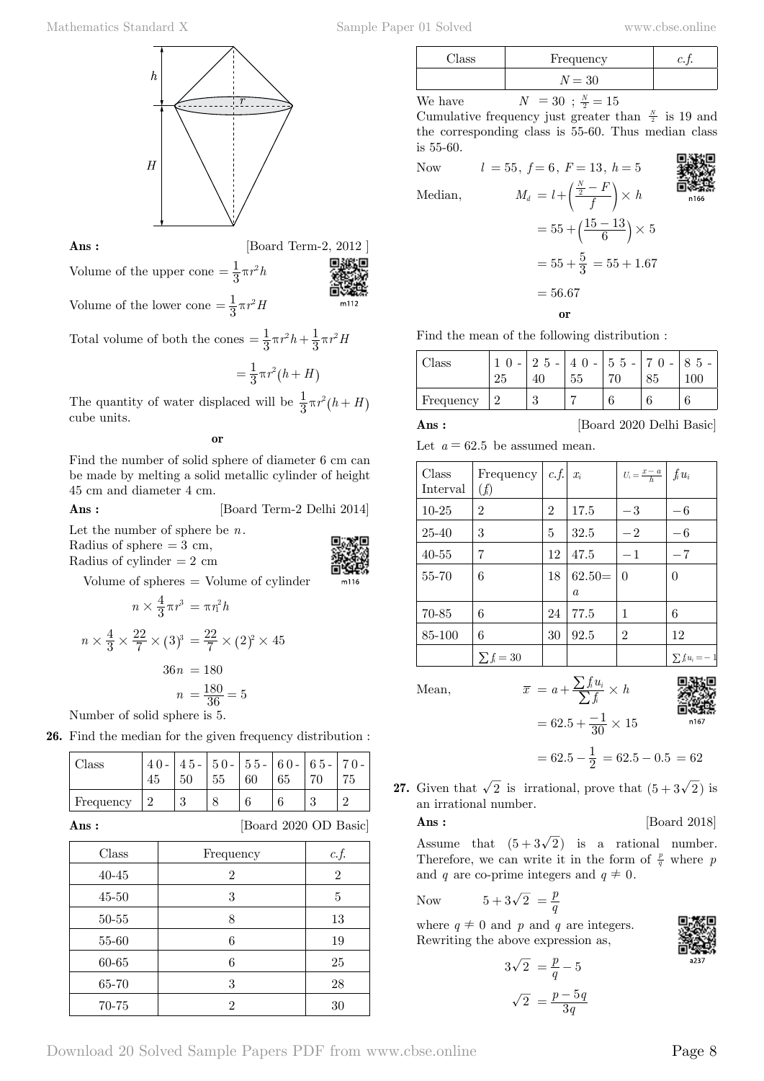

**Ans :** [Board Term-2, 2012]

Volume of the lower cone  $=$   $\frac{1}{3}\pi r^2H$ 

Volume of the upper cone  $=$   $\frac{1}{3}\pi r^2 h$ 

Total volume of both the cones  $=$   $\frac{1}{3}\pi r^2 h + \frac{1}{3}\pi r^2 H$ 

$$
= \frac{1}{3} \pi r^2 (h+H)
$$

The quantity of water displaced will be  $\frac{1}{3}\pi r^2(h+H)$ cube units.

 **o**

Find the number of solid sphere of diameter 6 cm can be made by melting a solid metallic cylinder of height 45 cm and diameter 4 cm.

#### **Ans :** [Board Term-2 Delhi 2014]

Let the number of sphere be *n*. Radius of sphere  $= 3$  cm, Radius of cylinder  $= 2$  cm



Volume of spheres = Volume of cylinder

$$
n \times \frac{4}{3} \pi r^3 = \pi r_1^2 h
$$
  

$$
n \times \frac{4}{3} \times \frac{22}{7} \times (3)^3 = \frac{22}{7} \times (2)^2 \times 45
$$
  

$$
36n = 180
$$
  

$$
n = \frac{180}{36} = 5
$$
  
Number of solid sphere is 5.

**26.** Find the median for the given frequency distribution :

| Class     | 45 | 50 | 55 | 60 | $ 45 - 50 - 55 - 60 - 65 - 70 -$<br>65 | 75 |
|-----------|----|----|----|----|----------------------------------------|----|
| Frequency |    | 2  |    |    |                                        |    |

**Ans :** [Board 2020 OD Basic]

| Class     | Frequency | c.f.           |
|-----------|-----------|----------------|
| $40 - 45$ | 2         | $\overline{2}$ |
| $45 - 50$ | 3         | 5              |
| $50 - 55$ | 8         | 13             |
| 55-60     | 6         | 19             |
| 60-65     | 6         | 25             |
| 65-70     | 3         | 28             |
| 70-75     | 2         | 30             |

| Class   | Frequency                     |  |
|---------|-------------------------------|--|
|         | $N = 30$                      |  |
| We have | $N = 30$ ; $\frac{N}{2} = 15$ |  |

Cumulative frequency just greater than  $\frac{N}{2}$  is 19 and the corresponding class is 55-60. Thus median class is 55-60.

Now  $l = 55, f = 6, F = 13, h = 5$ Median,  $M_d = l + \left(\frac{\frac{N}{2} - F}{f}\right) \times h$  $=55 + (\frac{15 - 13}{6}) \times 5$  $= 55 + \frac{5}{3} = 55 + 1.67$  $= 56.67$ 

 **o**

Find the mean of the following distribution :

| Class     | -5<br>2<br>$\overline{\phantom{a}}$ | $\overline{0}$<br>55 | $55-$<br>70 | 5<br>$100^-$ |
|-----------|-------------------------------------|----------------------|-------------|--------------|
| Frequency | $\Omega$<br>٤J                      |                      |             |              |

**Ans :** [Board 2020 Delhi Basic]

|  |  | Let $a = 62.5$ be assumed mean. |  |
|--|--|---------------------------------|--|

| Class<br>Interval | Frequency  <br>$(f_i)$ | $c.f.$ $x_i$   |                | $U_i = \frac{x-a}{h} \int \int i u_i$ |                     |
|-------------------|------------------------|----------------|----------------|---------------------------------------|---------------------|
| $10-25$           | $\overline{2}$         | $\overline{2}$ | 17.5           | $-3$                                  | $-6$                |
| 25-40             | 3                      | 5              | 32.5           | $-2$                                  | $-6$                |
| $40 - 55$         | 7                      | 12             | 47.5           | $-1$                                  | $-7$                |
| 55-70             | 6                      | 18             | $62.50=$       | $\Omega$                              | $\theta$            |
|                   |                        |                | $\mathfrak{a}$ |                                       |                     |
| 70-85             | 6                      | 24             | 77.5           | 1                                     | 6                   |
| 85-100            | 6                      | 30             | 92.5           | $\overline{2}$                        | 12                  |
|                   | $\sum f_i = 30$        |                |                |                                       | $\sum f_i u_i = -1$ |

Mean,  $\overline{x} = a + \frac{\sum f_i u_i}{\sum f_i} \times h$  $= 62.5 + \frac{-1}{30} \times 15$ 



 $n16$ 

$$
= 62.5 - \frac{1}{2} = 62.5 - 0.5 = 62
$$

**27.** Given that  $\sqrt{2}$  is irrational, prove that  $(5 + 3\sqrt{2})$  is an irrational number.

**Ans :** [Board 2018]

Assume that  $(5+3\sqrt{2})$  is a rational number. Therefore, we can write it in the form of  $\frac{p}{q}$  where *p* and *q* are co-prime integers and  $q \neq 0$ .

Now 
$$
5+3\sqrt{2} = \frac{p}{q}
$$

where  $q \neq 0$  and p and q are integers. Rewriting the above expression as,

$$
3\sqrt{2} = \frac{p}{q} - 5
$$

$$
\sqrt{2} = \frac{p - 5q}{3q}
$$

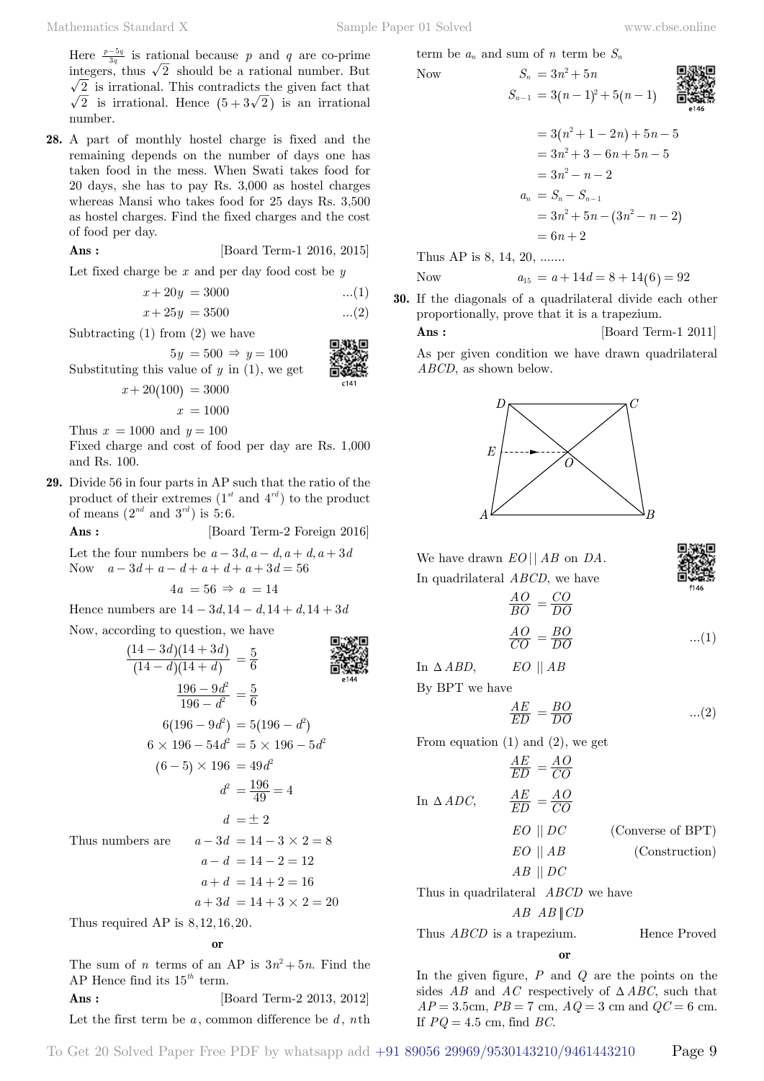Here  $\frac{p-5q}{3q}$  is rational because *p* and *q* are co-prime integers, thus  $\sqrt{2}$  should be a rational number. But  $\sqrt{2}$  is irrational. This contradicts the given fact that  $\sqrt{2}$  is irrational. Hence  $(5 + 3\sqrt{2})$  is an irrational number.

**28.** A part of monthly hostel charge is fixed and the remaining depends on the number of days one has taken food in the mess. When Swati takes food for 20 days, she has to pay Rs. 3,000 as hostel charges whereas Mansi who takes food for 25 days Rs. 3,500 as hostel charges. Find the fixed charges and the cost of food per day.

**Ans :** [Board Term-1 2016, 2015]

Let fixed charge be *x* and per day food cost be *y*

$$
x + 20y = 3000 \qquad \qquad ...(1)
$$

$$
x + 25y = 3500 \qquad \qquad ...(2)
$$

Subtracting  $(1)$  from  $(2)$  we have

 $5y = 500 \Rightarrow y = 100$ Substituting this value of *y* in (1), we get



$$
x + 20(100) = 3000
$$

$$
x = 1000
$$

Thus  $x = 1000$  and  $y = 100$ 

Fixed charge and cost of food per day are Rs. 1,000 and Rs. 100.

**29.** Divide 56 in four parts in AP such that the ratio of the product of their extremes  $(1^{st}$  and  $4^{rd}$ ) to the product of means  $(2^{nd}$  and  $3^{rd}$ ) is 5:6.

**Ans :** [Board Term-2 Foreign 2016]

Let the four numbers be  $a - 3d$ ,  $a - d$ ,  $a + d$ ,  $a + 3d$ Now  $a - 3d + a - d + a + d + a + 3d = 56$ 

$$
4a = 56 \Rightarrow a = 14
$$

Hence numbers are  $14 - 3d$ ,  $14 - d$ ,  $14 + d$ ,  $14 + 3d$ 

Now, according to question, we have

$$
\frac{(14-3d)(14+3d)}{(14-d)(14+d)} = \frac{5}{6}
$$
\n
$$
\frac{196-9d^2}{196-d^2} = \frac{5}{6}
$$
\n
$$
6(196-9d^2) = 5(196-d^2)
$$
\n
$$
6 \times 196 - 54d^2 = 5 \times 196 - 5d^2
$$
\n
$$
(6-5) \times 196 = 49d^2
$$
\n
$$
d^2 = \frac{196}{49} = 4
$$
\n
$$
d = \pm 2
$$
\nThus numbers are\n
$$
a - 3d = 14 - 3 \times 2 = 8
$$
\n
$$
a - d = 14 - 2 = 12
$$
\n
$$
a + d = 14 + 2 = 16
$$
\n
$$
a + 3d = 14 + 3 \times 2 = 20
$$
\nThus required AP is 8.12.16.20.

 **o**

The sum of *n* terms of an AP is  $3n^2 + 5n$ . Find the AP Hence find its 15*th* term.

**Ans :** [Board Term-2 2013, 2012] Let the first term be *a* , common difference be *d* , *n*th term be  $a_n$  and sum of *n* term be  $S_n$ 

Now 
$$
S_n = 3n^2 + 5n
$$
  
\n $S_{n-1} = 3(n-1)^2 + 5(n-1)$   
\n**1**  
\n**1**  
\n**2**  
\n**3**  
\n**4**  
\n**5**  
\n**6**  
\n**8**  
\n**9**  
\n**1**  
\n**1**  
\n**1**  
\n**1**  
\n**1**  
\n**1**  
\n**1**  
\n**1**  
\n**1**  
\n**1**  
\n**1**  
\n**1**  
\n**1**  
\n**1**  
\n**1**  
\n**1**  
\n**1**  
\n**1**  
\n**1**  
\n**1**  
\n**1**  
\n**1**  
\n**1**  
\n**1**  
\n**1**  
\n**1**  
\n**1**  
\n**1**  
\n**1**  
\n**1**  
\n**1**  
\n**1**  
\n**1**  
\n**1**  
\n**1**  
\n**1**  
\n**1**  
\n**1**  
\n**1**  
\n**1**  
\n**1**  
\n**1**  
\n**1**  
\n**1**  
\n**1**  
\n**1**  
\n**1**  
\n**1**  
\n**1**  
\n**1**  
\n**1**  
\n**1**  
\n**1**  
\n**1**  
\n**1**  
\n**1**  
\n**1**  
\n**1**  
\n**1**  
\n**1**  
\n**1**  
\n**1**  
\n**1**  
\n**1**  
\n**1**  
\n**1**  
\n**1**  
\n**1**  
\n**1**  
\n**1**  
\n**1**

$$
= 3(n2+1-2n)+5n-5
$$
  

$$
= 3n2+3-6n+5n-5
$$
  

$$
= 3n2-n-2
$$
  

$$
an = Sn-Sn-1
$$
  

$$
= 3n2+5n-(3n2-n-2)
$$
  

$$
= 6n+2
$$

Thus AP is 8, 14, 20, .......

Now 
$$
a_{15} = a + 14d = 8 + 14(6) = 92
$$

**30.** If the diagonals of a quadrilateral divide each other proportionally, prove that it is a trapezium.

**Ans :** [Board Term-1 2011]

同样物同

As per given condition we have drawn quadrilateral *ABCD*, as shown below.



|                                                      | We have drawn $EO  AB$ on $DA$ .          |                   |
|------------------------------------------------------|-------------------------------------------|-------------------|
|                                                      | In quadrilateral <i>ABCD</i> , we have    |                   |
|                                                      | $\frac{AO}{BO} = \frac{CO}{DO}$           |                   |
|                                                      | $\frac{AO}{CO} = \frac{BO}{DO}$           | (1)               |
| In $\triangle ABD$ , EO    AB                        |                                           |                   |
| By BPT we have                                       |                                           |                   |
|                                                      | $\frac{AE}{ED} = \frac{BO}{DO}$           | (2)               |
|                                                      | From equation $(1)$ and $(2)$ , we get    |                   |
|                                                      | $\frac{AE}{ED} = \frac{AO}{CO}$           |                   |
| In $\triangle ADC$ , $\frac{AE}{ED} = \frac{AO}{CO}$ |                                           |                   |
|                                                      | $EO \parallel DC$                         | (Converse of BPT) |
|                                                      | $EO \parallel AB$                         | (Construction)    |
|                                                      | $AB \parallel DC$                         |                   |
|                                                      | Thus in quadrilateral <i>ABCD</i> we have |                   |

*AB AB CD*

Thus *ABCD* is a trapezium. Hence Proved

$$
\mathbf{0}
$$

In the given figure, *P* and *Q* are the points on the sides  $AB$  and  $AC$  respectively of  $\triangle ABC$ , such that  $AP = 3.5$ cm,  $PB = 7$  cm,  $AQ = 3$  cm and  $QC = 6$  cm. If *PQ* = 4 5. cm, find *BC*.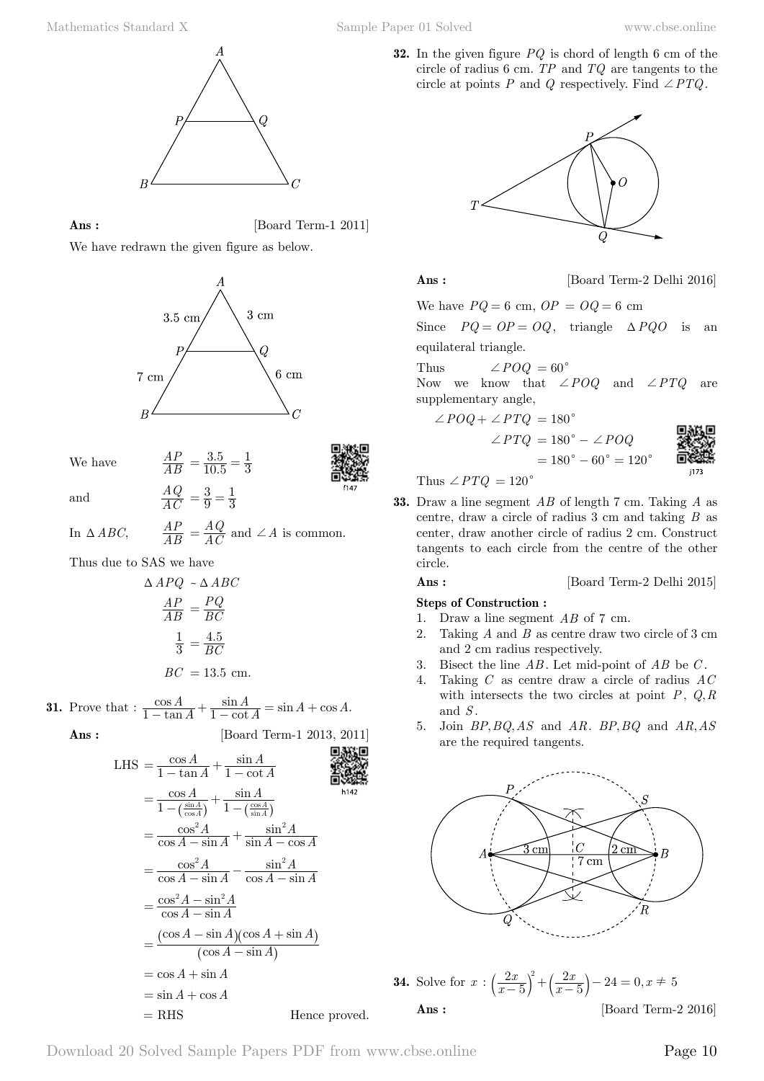

**Ans :** [Board Term-1 2011]

We have redrawn the given figure as below.



. . 10.5  $3.5$  $=\frac{3.5}{10.5}=\frac{1}{3}$ 

We have



and *AC AQ*

In  $\triangle ABC$ , *AP*  $=\frac{AQ}{AC}$  and  $\angle A$  is common.

9 3  $=\frac{3}{9}=\frac{1}{3}$ 

*AP*

Thus due to SAS we have

$$
\Delta APQ \sim \Delta ABC
$$

$$
\frac{AP}{AB} = \frac{PQ}{BC}
$$

$$
\frac{1}{3} = \frac{4.5}{BC}
$$

$$
BC = 13.5
$$
 cm.

**31.** Prove that :  $\frac{\cos A}{1 - \tan A} + \frac{\sin A}{1 - \cot A} = \sin A + \cos A$ .  $\frac{A}{\tan A} + \frac{\sin A}{1 - \cot A} = \sin A + \cos A$  $\frac{\cos A}{1-\tan A} + \frac{\sin A}{1-\cot A} = \sin A + \cos A$ 

$$
Ans: \qquad \qquad [\text{Board Term-1 2013, 2011}]
$$

LHS = 
$$
\frac{\cos A}{1 - \tan A} + \frac{\sin A}{1 - \cot A}
$$
  
\n= 
$$
\frac{\cos A}{1 - (\frac{\sin A}{\cos A})} + \frac{\sin A}{1 - (\frac{\cos A}{\sin A})}
$$
  
\n= 
$$
\frac{\cos^2 A}{\cos A - \sin A} + \frac{\sin^2 A}{\sin A - \cos A}
$$
  
\n= 
$$
\frac{\cos^2 A}{\cos A - \sin A} - \frac{\sin^2 A}{\cos A - \sin A}
$$
  
\n= 
$$
\frac{\cos^2 A - \sin^2 A}{\cos A - \sin A}
$$
  
\n= 
$$
\frac{(\cos A - \sin A)(\cos A + \sin A)}{(\cos A - \sin A)}
$$
  
\n= 
$$
\cos A + \sin A
$$
  
\n= 
$$
\sin A + \cos A
$$
  
\n= RHS \tHence proved.

**32.** In the given figure *PQ* is chord of length 6 cm of the circle of radius 6 cm. *TP* and *TQ* are tangents to the circle at points *P* and *Q* respectively. Find  $\angle PTQ$ .



**Ans :** [Board Term-2 Delhi 2016]

We have  $PQ = 6$  cm,  $OP = OQ = 6$  cm

Since  $PQ = OP = OQ$ , triangle  $\triangle PQO$  is an equilateral triangle.

Thus  $\angle POQ = 60^{\circ}$ 

Now we know that  $\angle POQ$  and  $\angle PTQ$  are supplementary angle,

 $= 180^{\circ} - 60^{\circ} = 120^{\circ}$ 

$$
\angle POQ + \angle PTQ = 180^{\circ}
$$

$$
\angle PTQ = 180^{\circ} - \angle POQ
$$



Thus  $\angle PTQ = 120^\circ$ 

**33.** Draw a line segment *AB* of length 7 cm. Taking *A* as centre, draw a circle of radius 3 cm and taking *B* as center, draw another circle of radius 2 cm. Construct tangents to each circle from the centre of the other circle.

#### **Ans :** [Board Term-2 Delhi 2015]

### **Steps of Construction :**

- 1. Draw a line segment *AB* of 7 cm.
- 2. Taking *A* and *B* as centre draw two circle of 3 cm and 2 cm radius respectively.
- 3. Bisect the line *AB* . Let mid-point of *AB* be *C* .
- 4. Taking *C* as centre draw a circle of radius *AC* with intersects the two circles at point  $P$ ,  $Q, R$ and *S* .
- 5. Join *BP*, *BQ*, *AS* and *AR*. *BP*, *BQ* and *AR*, *AS* are the required tangents.



**34.** Solve for  $x: \left(\frac{2x}{x-5}\right)^2 + \left(\frac{2x}{x-5}\right) - 24 = 0$ , *x*  $\left(\frac{2x}{x-5}\right)^2 + \left(\frac{2x}{x-5}\right) - 24 = 0, x$  $\left(\frac{2x}{x-5}\right)^2 + \left(\frac{2x}{x-5}\right) - 24 = 0, x \neq 5$ **Ans :** [Board Term-2 2016]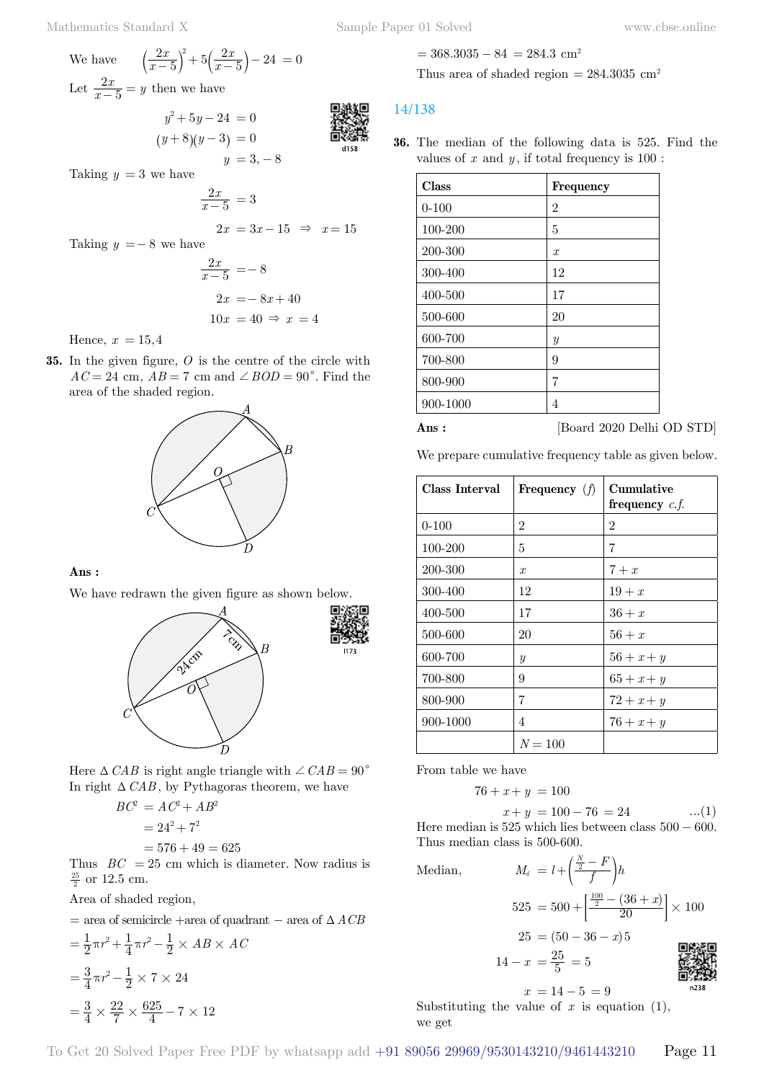$$
(y+8)(y-3) = 0
$$
  
y = 3, -8

Taking  $y = 3$  we have

$$
\frac{2x}{x-5} = 3
$$

 $2x = 3x - 15 \Rightarrow x = 15$ Taking  $y = -8$  we have

we  
\n
$$
\frac{2x}{x-5} = -8
$$
\n
$$
2x = -8x + 40
$$
\n
$$
10x = 40 \Rightarrow x = 4
$$

Hence,  $x = 15,4$ 

**35.** In the given figure, *O* is the centre of the circle with  $AC = 24$  cm,  $AB = 7$  cm and  $\angle BOD = 90^\circ$ . Find the area of the shaded region.



#### **Ans :**

We have redrawn the given figure as shown below.





$$
BC2 = AC2 + AB2
$$
  
= 24<sup>2</sup> + 7<sup>2</sup>  
= 576 + 49 = 625  
Thus,  $BC = 25$  cm which is a

Thus  $BC = 25$  cm which is diameter. Now radius is  $\frac{25}{2}$  or 12.5 cm.

Area of shaded region,

= area of semicircle +  
area of quadrant – area of 
$$
\Delta \textit{ACB}
$$

$$
= \frac{1}{2}\pi r^2 + \frac{1}{4}\pi r^2 - \frac{1}{2} \times AB \times AC
$$

$$
= \frac{3}{4}\pi r^2 - \frac{1}{2} \times 7 \times 24
$$

$$
= \frac{3}{4} \times \frac{22}{7} \times \frac{625}{4} - 7 \times 12
$$

$$
= 368.3035 - 84 = 284.3
$$
 cm<sup>2</sup>

Thus area of shaded region  $= 284.3035$  cm<sup>2</sup>

# 14/138

**36.** The median of the following data is 525. Find the values of  $x$  and  $y$ , if total frequency is  $100$ :

| Class     | Frequency        |
|-----------|------------------|
| $0 - 100$ | 2                |
| 100-200   | 5                |
| 200-300   | $\boldsymbol{x}$ |
| 300-400   | 12               |
| 400-500   | 17               |
| 500-600   | 20               |
| 600-700   | $\boldsymbol{y}$ |
| 700-800   | 9                |
| 800-900   | 7                |
| 900-1000  | 4                |



 **Ans :** [Board 2020 Delhi OD STD]

We prepare cumulative frequency table as given below.

| Class Interval | Frequency $(f)$  | Cumulative<br>frequency $c.f.$ |
|----------------|------------------|--------------------------------|
| $0 - 100$      | 2                | $\mathcal{D}_{\mathcal{L}}$    |
| 100-200        | 5                | 7                              |
| 200-300        | $\mathcal{X}$    | $7 + x$                        |
| 300-400        | 12               | $19+x$                         |
| 400-500        | 17               | $36 + x$                       |
| 500-600        | 20               | $56 + x$                       |
| 600-700        | $\boldsymbol{y}$ | $56 + x + y$                   |
| 700-800        | 9                | $65 + x + y$                   |
| 800-900        | 7                | $72 + x + y$                   |
| 900-1000       | 4                | $76 + x + y$                   |
|                | $N = 100$        |                                |

From table we have

$$
76 + x + y = 100
$$

$$
x + y = 100 - 76 = 24 \quad \dots(1)
$$

Here median is  $525$  which lies between class  $500 - 600$ . Thus median class is 500-600.

Median, *<sup>M</sup><sup>d</sup> <sup>l</sup> <sup>f</sup>*

$$
M_{d} = l + \left(\frac{\frac{N}{2} - F}{f}\right)h
$$
  
\n
$$
525 = 500 + \left[\frac{\frac{100}{2} - (36 + x)}{20}\right] \times 100
$$
  
\n
$$
25 = (50 - 36 - x)5
$$
  
\n
$$
14 - x = \frac{25}{5} = 5
$$

首張殿 n238

 $x = 14 - 5 = 9$ Substituting the value of  $x$  is equation  $(1)$ , we get